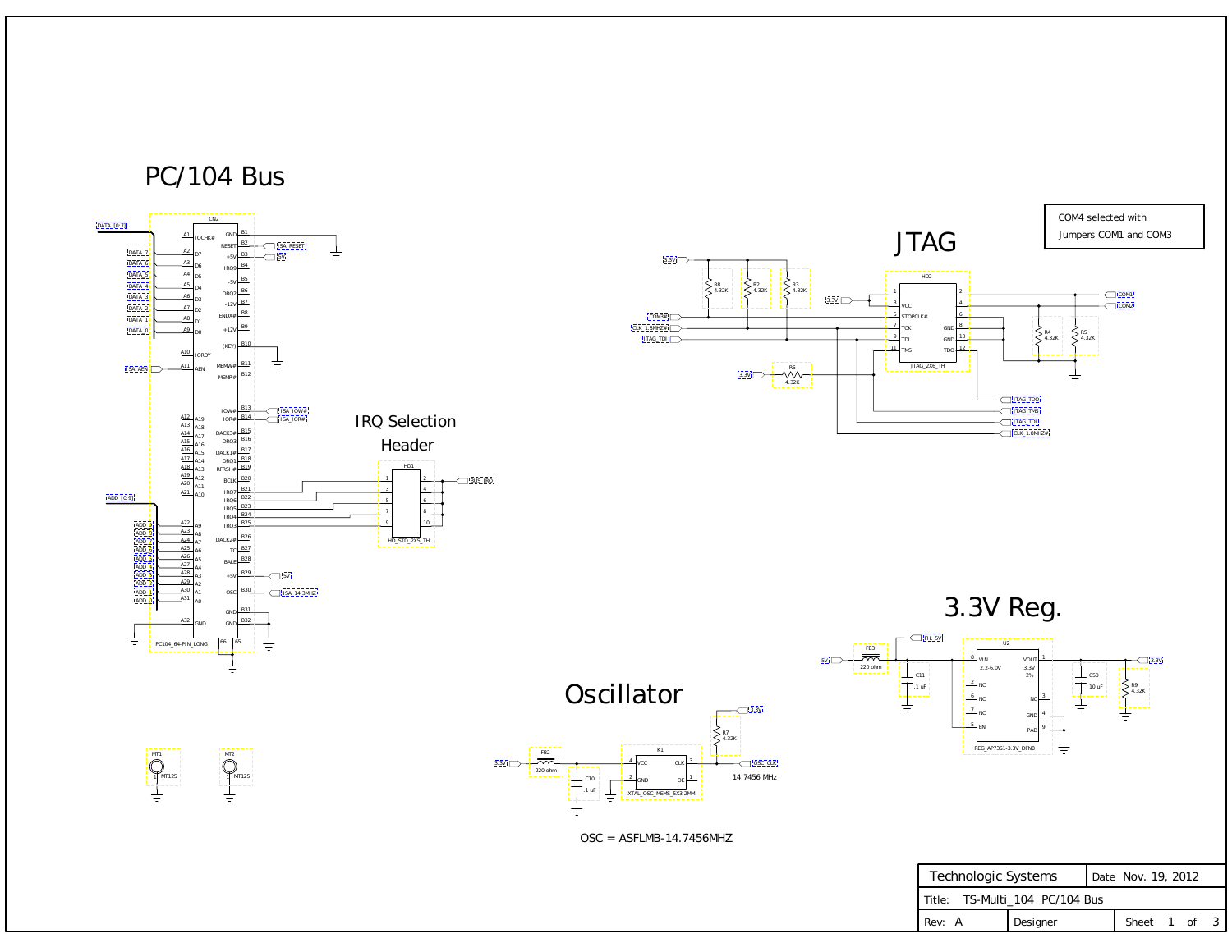

| Technologic Systems            |          |  | Date Nov. 19, 2012 |  |  |  |
|--------------------------------|----------|--|--------------------|--|--|--|
| Title: TS-Multi_104 PC/104 Bus |          |  |                    |  |  |  |
| Rev: A                         | Designer |  | Sheet 1 of 3       |  |  |  |



<span id="page-0-0"></span>



 $OSC = ASFLMB-14.7456MHz$ 



1

MT125 1

MT1

MT2

MT125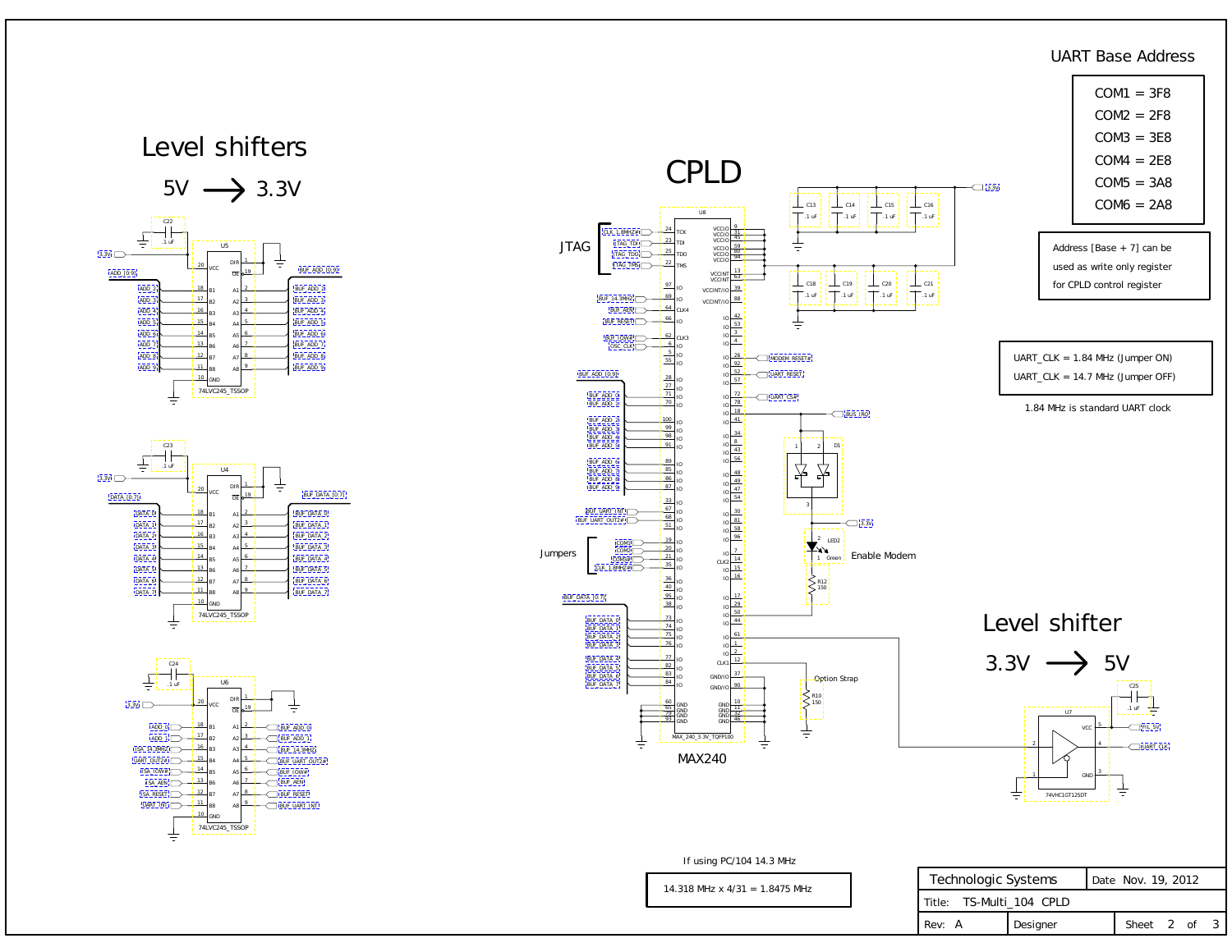| Technologic Systems      |          |  | Date Nov. 19, 2012 |  |  |  |  |  |
|--------------------------|----------|--|--------------------|--|--|--|--|--|
| Title: TS-Multi_104 CPLD |          |  |                    |  |  |  |  |  |
| Rev: A                   | Designer |  | Sheet 2 of 3       |  |  |  |  |  |

CPLD

 $\perp$  C13

14.318 MHz x 4/31 = 1.8475 MHz

Address [Base + 7] can be used as write only register for CPLD control register



#### UART\_CLK = 1.84 MHz (Jumper ON) UART\_CLK = 14.7 MHz (Jumper OFF)

 $\perp$  C<sub>21</sub>  $\frac{1}{\sqrt{1}}$ .1 uF

 $\perp$  C<sub>16</sub>  $\overline{\phantom{a}}$ .1 uF  $\sim$  3.3V

### UART Base Address

Level shifter

If using PC/104 14.3 MHz

1.84 MHz is standard UART clock

<span id="page-1-0"></span>





C14

C15